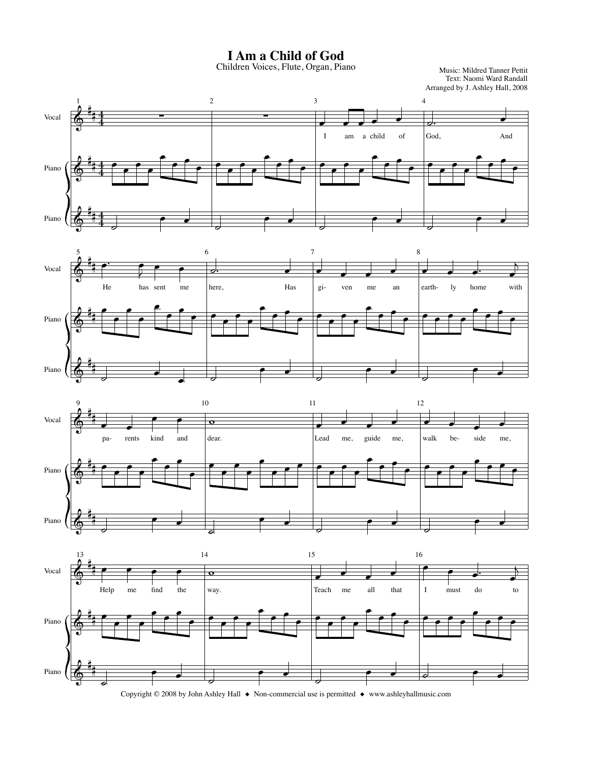**I Am a Child of God**

Children Voices, Flute, Organ, Piano

Text: Naomi Ward Randall Arranged by J. Ashley Hall, 2008 Music: Mildred Tanner Pettit







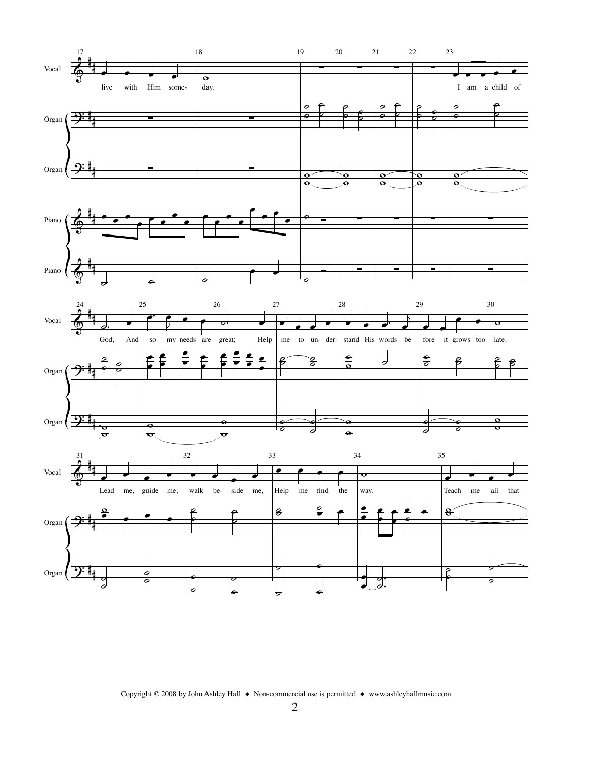





Copyright © 2008 by John Ashley Hall ◆ Non-commercial use is permitted ◆ www.ashleyhallmusic.com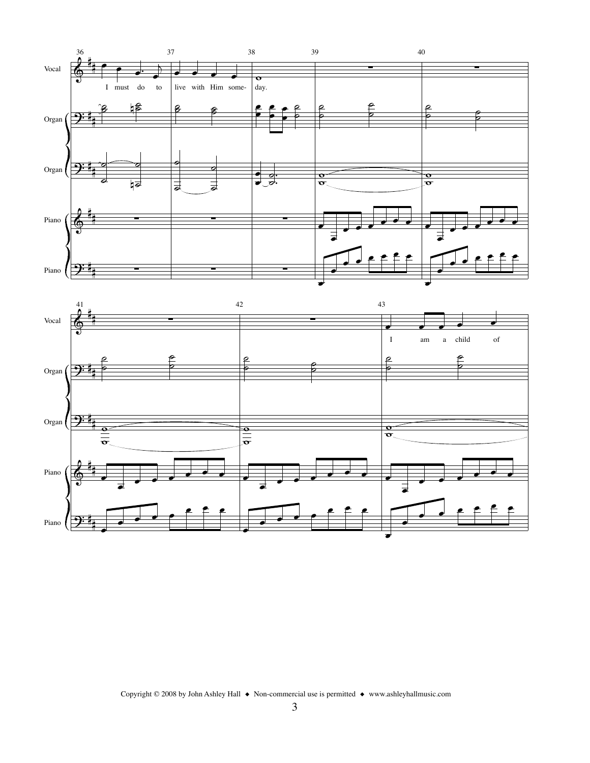



Copyright © 2008 by John Ashley Hall  $\;\blacklozenge\;$  Non-commercial use is permitted  $\;\blacklozenge\;$  www.ashleyhallmusic.com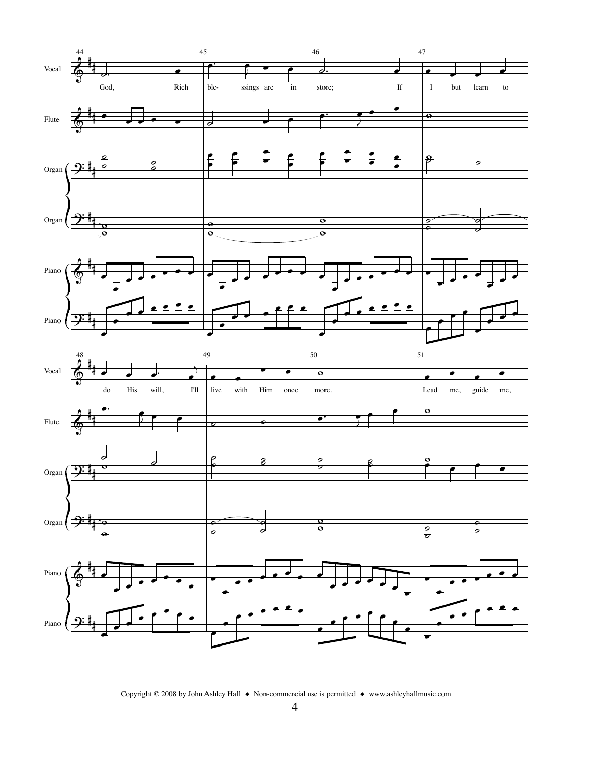



Copyright © 2008 by John Ashley Hall  $\;\blacklozenge\;$  Non-commercial use is permitted  $\;\blacklozenge\;$  www.ashleyhallmusic.com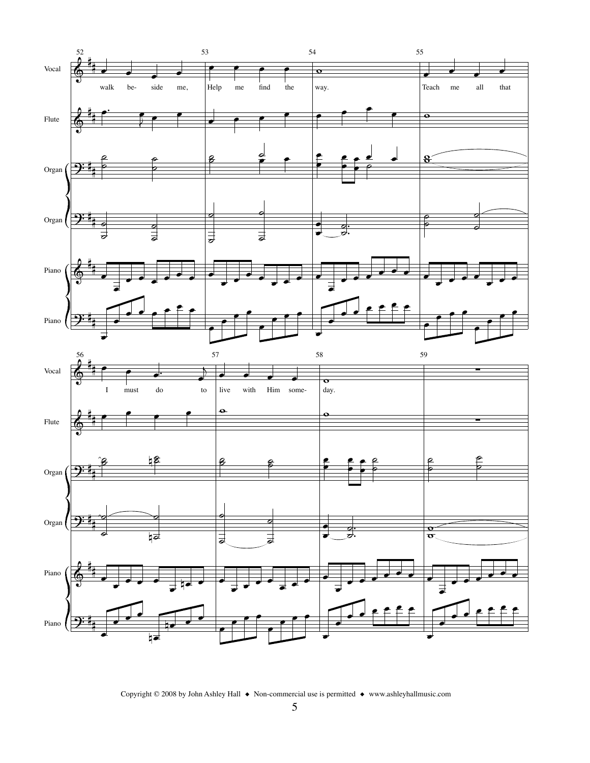

Copyright © 2008 by John Ashley Hall  $\;\blacklozenge\;$  Non-commercial use is permitted  $\;\blacklozenge\;$  www.ashleyhallmusic.com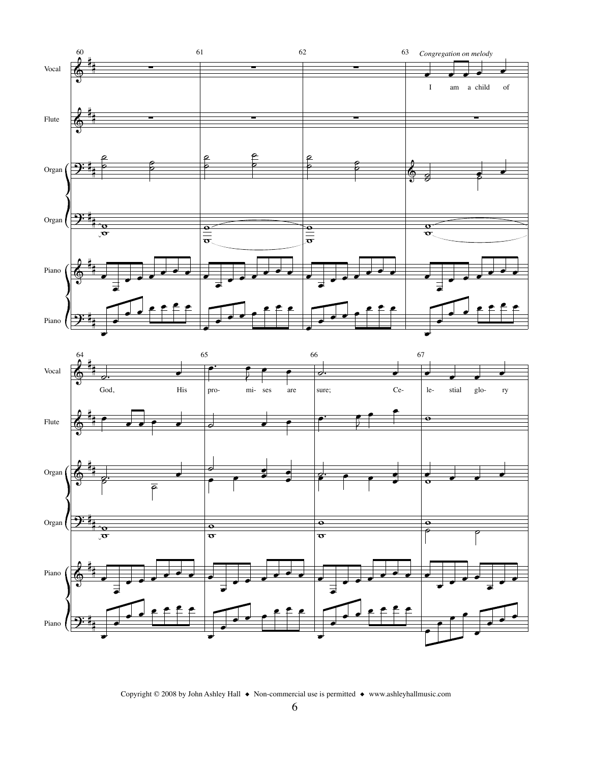



Copyright © 2008 by John Ashley Hall  $\;\blacklozenge\;$  Non-commercial use is permitted  $\;\blacklozenge\;$  www.ashleyhallmusic.com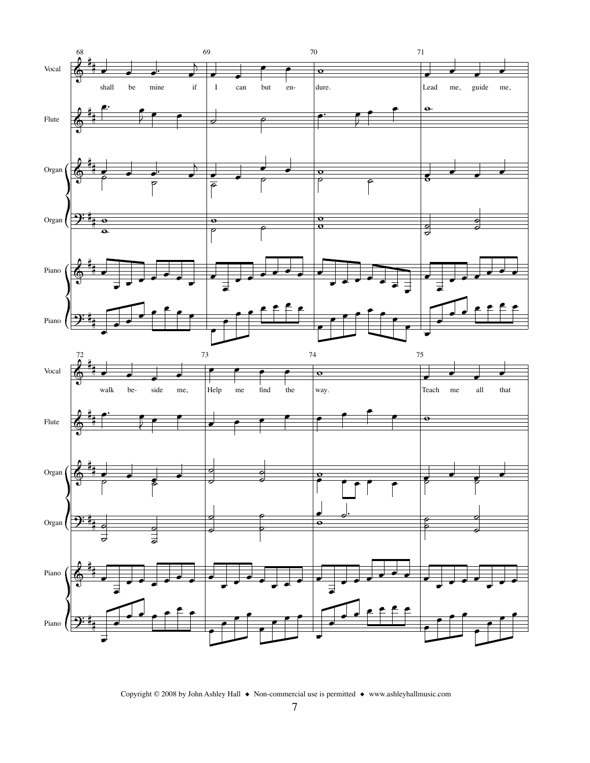

Copyright © 2008 by John Ashley Hall  $\bullet$  Non-commercial use is permitted  $\bullet$  www.ashleyhallmusic.com